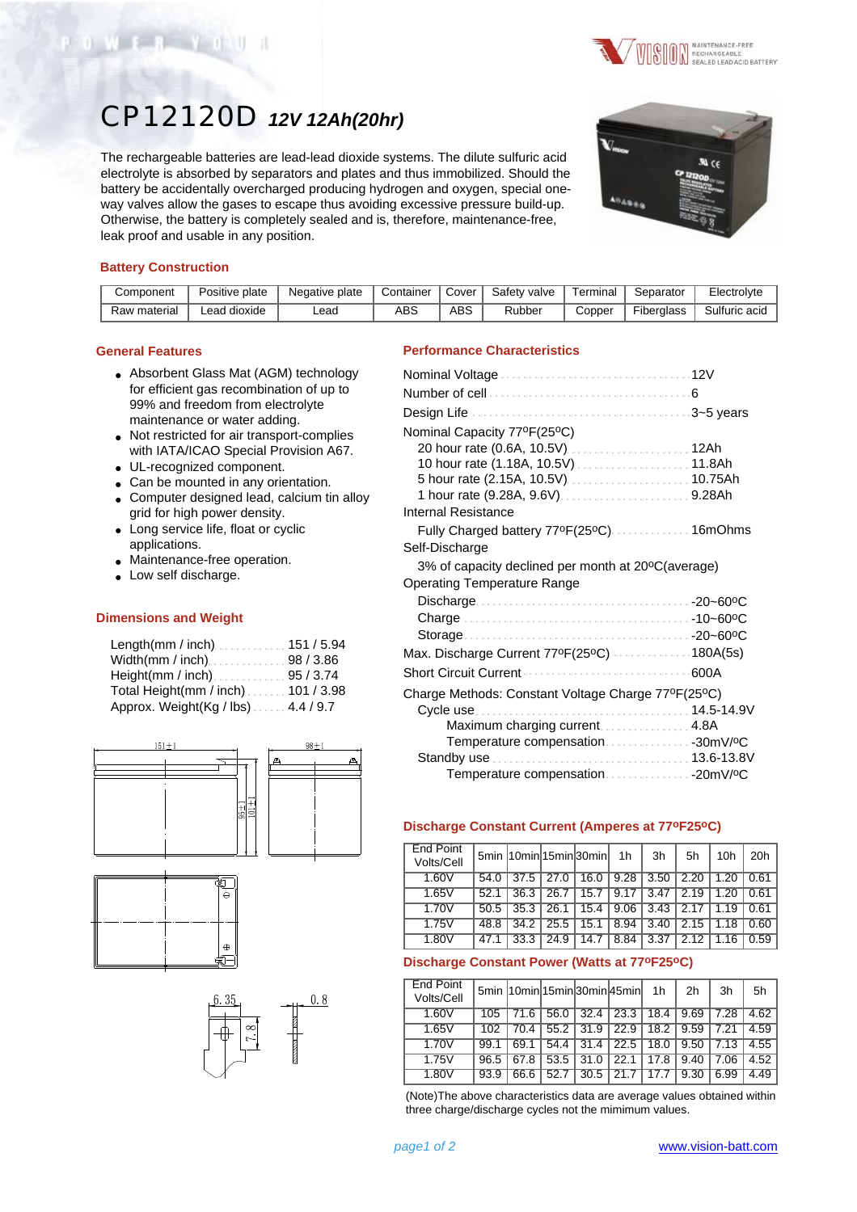



# CP12120D *12V 12Ah(20hr)*

The rechargeable batteries are lead-lead dioxide systems. The dilute sulfuric acid electrolyte is absorbed by separators and plates and thus immobilized. Should the battery be accidentally overcharged producing hydrogen and oxygen, special oneway valves allow the gases to escape thus avoiding excessive pressure build-up. Otherwise, the battery is completely sealed and is, therefore, maintenance-free, leak proof and usable in any position.



## **Battery Construction**

| Component    | Positive plate  | Negative plate | Container | Cover | Safety valve | Γerminal | Separator  | Electrolyte   |
|--------------|-----------------|----------------|-----------|-------|--------------|----------|------------|---------------|
| Raw material | dioxide<br>∟ead | _ead           | ABS       | ABS   | Rubber       | Copper   | Fiberalass | Sulfuric acid |

#### **General Features**

- Absorbent Glass Mat (AGM) technology for efficient gas recombination of up to 99% and freedom from electrolyte maintenance or water adding.
- Not restricted for air transport-complies with IATA/ICAO Special Provision A67.
- UL-recognized component.
- Can be mounted in any orientation.
- Computer designed lead, calcium tin alloy grid for high power density.
- Long service life, float or cyclic applications.
- Maintenance-free operation.
- Low self discharge.

#### **Dimensions and Weight**

| Length(mm / inch)151 / 5.94          |  |
|--------------------------------------|--|
| Width(mm / inch) 98 / 3.86           |  |
| Height(mm / inch) $\ldots$ 95 / 3.74 |  |
| Total Height(mm / inch). 101 / 3.98  |  |
| Approx. Weight(Kg / lbs). 4.4 / 9.7  |  |







### **Performance Characteristics**

| Nominal Capacity 77°F(25°C)                                  |      |
|--------------------------------------------------------------|------|
|                                                              |      |
|                                                              |      |
|                                                              |      |
|                                                              |      |
| Internal Resistance                                          |      |
| Fully Charged battery 77ºF(25ºC) 16mOhms                     |      |
| Self-Discharge                                               |      |
| 3% of capacity declined per month at 20°C(average)           |      |
| Operating Temperature Range                                  |      |
|                                                              |      |
|                                                              |      |
|                                                              |      |
| Max. Discharge Current 77ºF(25ºC) 180A(5s)<br>. . <i>.</i> . |      |
| <b>Short Circuit Current</b>                                 | 600A |
| Charge Methods: Constant Voltage Charge 77ºF(25ºC)           |      |
|                                                              |      |
| Maximum charging current4.8A                                 |      |
|                                                              |      |
|                                                              |      |
| Temperature compensation20mV/ºC                              |      |

#### **Discharge Constant Current (Amperes at 77oF25oC)**

| <b>End Point</b><br>Volts/Cell |      |                   |      | 5min 10min 15min 30min | 1h   | 3h   | 5h   | 10h  | 20h  |
|--------------------------------|------|-------------------|------|------------------------|------|------|------|------|------|
| 1.60V                          | 54.0 | $\overline{37.5}$ | 27.0 | 16.0                   | 9.28 | 3.50 | 2.20 | 1.20 | 0.61 |
| 1.65V                          | 52.1 | 36.3              | 26.7 | 15.7                   | 9.17 | 3.47 | 2.19 |      | 0.61 |
| 1.70V                          | 50.5 | 35.3              | 26.1 | 15.4                   | 9.06 | 3.43 | 2.17 | 1.19 | 0.61 |
| 1.75V                          | 48.8 | 34.2              | 25.5 | 15.1                   | 8.94 | 3.40 | 2.15 | 1.18 | 0.60 |
| 1.80V                          | 47.  | 33.3              | 24.9 | 14.7                   | 8.84 | 3.37 | 2.12 |      | 0.59 |

### **Discharge Constant Power (Watts at 77oF25oC)**

| <b>End Point</b><br>Volts/Cell |      |      |      |      | 5min 10min 15min 30min 45min 1h |      | 2h   | 3h   | 5h   |
|--------------------------------|------|------|------|------|---------------------------------|------|------|------|------|
| 1.60V                          | 105  | 71.6 | 56.0 | 32.4 | 23.3                            | 18.4 | 9.69 | 7.28 | 4.62 |
| 1.65V                          | 102  | 70.4 | 55.2 | 31.9 | 22.9                            | 18.2 | 9.59 | 7.21 | 4.59 |
| 1.70V                          | 99.1 | 69.1 | 54.4 | 31.4 | 22.5                            | 18.0 | 9.50 | 7.13 | 4.55 |
| 1.75V                          | 96.5 | 67.8 | 53.5 | 31.0 | 22.1                            | 17.8 | 9.40 | 7.06 | 4.52 |
| 1.80V                          | 93.9 | 66.6 | 52.7 | 30.5 |                                 |      | 9.30 | 6.99 | 4.49 |

(Note)The above characteristics data are average values obtained within three charge/discharge cycles not the mimimum values.